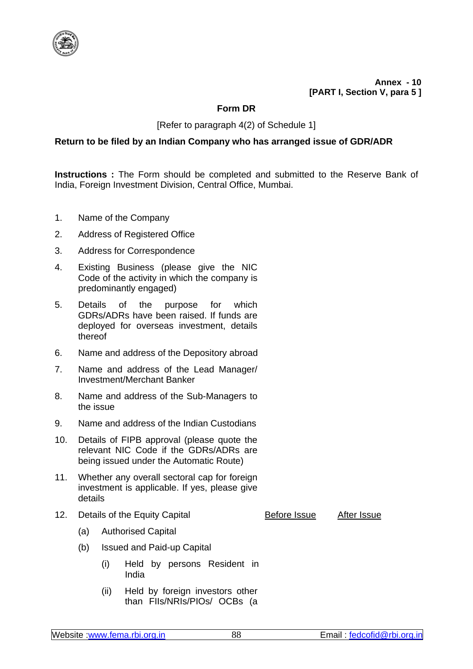

**Annex - 10 [PART I, Section V, para 5 ]**

## **Form DR**

[Refer to paragraph 4(2) of Schedule 1]

## **Return to be filed by an Indian Company who has arranged issue of GDR/ADR**

**Instructions :** The Form should be completed and submitted to the Reserve Bank of India, Foreign Investment Division, Central Office, Mumbai.

- 1. Name of the Company
- 2. Address of Registered Office
- 3. Address for Correspondence
- 4. Existing Business (please give the NIC Code of the activity in which the company is predominantly engaged)
- 5. Details of the purpose for which GDRs/ADRs have been raised. If funds are deployed for overseas investment, details thereof
- 6. Name and address of the Depository abroad
- 7. Name and address of the Lead Manager/ Investment/Merchant Banker
- 8. Name and address of the Sub-Managers to the issue
- 9. Name and address of the Indian Custodians
- 10. Details of FIPB approval (please quote the relevant NIC Code if the GDRs/ADRs are being issued under the Automatic Route)
- 11. Whether any overall sectoral cap for foreign investment is applicable. If yes, please give details
- 12. Details of the Equity Capital **Before Issue** After Issue

- (a) Authorised Capital
- (b) Issued and Paid-up Capital
	- (i) Held by persons Resident in India
	- (ii) Held by foreign investors other than FIIs/NRIs/PIOs/ OCBs (a